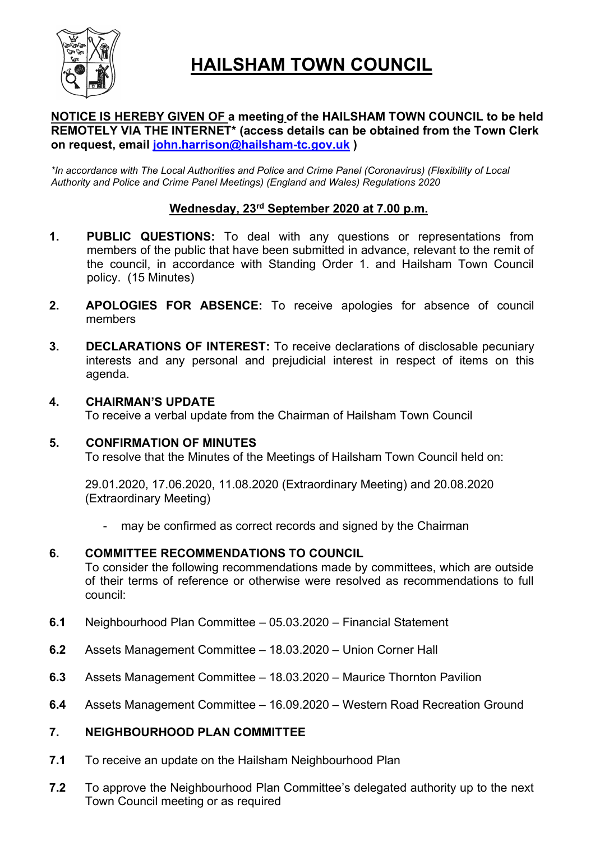

# HAILSHAM TOWN COUNCIL

## NOTICE IS HEREBY GIVEN OF a meeting of the HAILSHAM TOWN COUNCIL to be held REMOTELY VIA THE INTERNET\* (access details can be obtained from the Town Clerk on request, email john.harrison@hailsham-tc.gov.uk )

\*In accordance with The Local Authorities and Police and Crime Panel (Coronavirus) (Flexibility of Local Authority and Police and Crime Panel Meetings) (England and Wales) Regulations 2020

## Wednesday, 23rd September 2020 at 7.00 p.m.

- 1. PUBLIC QUESTIONS: To deal with any questions or representations from members of the public that have been submitted in advance, relevant to the remit of the council, in accordance with Standing Order 1. and Hailsham Town Council policy. (15 Minutes)
- 2. APOLOGIES FOR ABSENCE: To receive apologies for absence of council members
- 3. DECLARATIONS OF INTEREST: To receive declarations of disclosable pecuniary interests and any personal and prejudicial interest in respect of items on this agenda.

## 4. CHAIRMAN'S UPDATE

To receive a verbal update from the Chairman of Hailsham Town Council

## 5. CONFIRMATION OF MINUTES

To resolve that the Minutes of the Meetings of Hailsham Town Council held on:

29.01.2020, 17.06.2020, 11.08.2020 (Extraordinary Meeting) and 20.08.2020 (Extraordinary Meeting)

may be confirmed as correct records and signed by the Chairman

## 6. COMMITTEE RECOMMENDATIONS TO COUNCIL

To consider the following recommendations made by committees, which are outside of their terms of reference or otherwise were resolved as recommendations to full council:

- 6.1 Neighbourhood Plan Committee 05.03.2020 Financial Statement
- 6.2 Assets Management Committee 18.03.2020 Union Corner Hall
- 6.3 Assets Management Committee 18.03.2020 Maurice Thornton Pavilion
- 6.4 Assets Management Committee 16.09.2020 Western Road Recreation Ground

## 7. NEIGHBOURHOOD PLAN COMMITTEE

- 7.1 To receive an update on the Hailsham Neighbourhood Plan
- 7.2 To approve the Neighbourhood Plan Committee's delegated authority up to the next Town Council meeting or as required